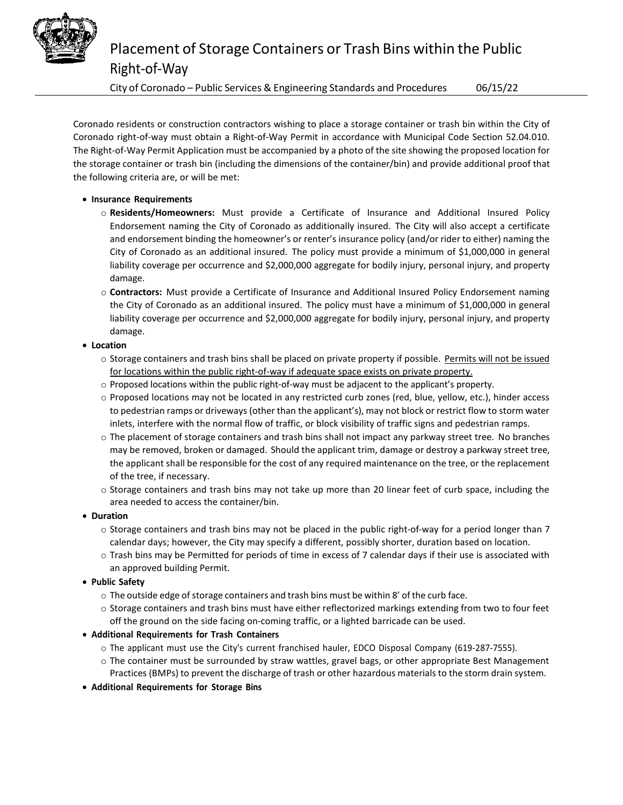

City of Coronado – Public Services & Engineering Standards and Procedures 06/15/22

Coronado residents or construction contractors wishing to place a storage container or trash bin within the City of Coronado right-of-way must obtain a Right-of-Way Permit in accordance with Municipal Code Section 52.04.010. The Right-of-Way Permit Application must be accompanied by a photo of the site showing the proposed location for the storage container or trash bin (including the dimensions of the container/bin) and provide additional proof that the following criteria are, or will be met:

## • **Insurance Requirements**

- o **Residents/Homeowners:** Must provide a Certificate of Insurance and Additional Insured Policy Endorsement naming the City of Coronado as additionally insured. The City will also accept a certificate and endorsement binding the homeowner's or renter's insurance policy (and/or rider to either) naming the City of Coronado as an additional insured. The policy must provide a minimum of \$1,000,000 in general liability coverage per occurrence and \$2,000,000 aggregate for bodily injury, personal injury, and property damage.
- o **Contractors:** Must provide a Certificate of Insurance and Additional Insured Policy Endorsement naming the City of Coronado as an additional insured. The policy must have a minimum of \$1,000,000 in general liability coverage per occurrence and \$2,000,000 aggregate for bodily injury, personal injury, and property damage.
- **Location**
	- o Storage containers and trash bins shall be placed on private property if possible. Permits will not be issued for locations within the public right-of-way if adequate space exists on private property.
	- o Proposed locations within the public right-of-way must be adjacent to the applicant's property.
	- o Proposed locations may not be located in any restricted curb zones (red, blue, yellow, etc.), hinder access to pedestrian ramps or driveways (other than the applicant's), may not block or restrict flow to storm water inlets, interfere with the normal flow of traffic, or block visibility of traffic signs and pedestrian ramps.
	- o The placement of storage containers and trash bins shall not impact any parkway street tree. No branches may be removed, broken or damaged. Should the applicant trim, damage or destroy a parkway street tree, the applicant shall be responsible for the cost of any required maintenance on the tree, or the replacement of the tree, if necessary.
	- o Storage containers and trash bins may not take up more than 20 linear feet of curb space, including the area needed to access the container/bin.
- **Duration**
	- o Storage containers and trash bins may not be placed in the public right-of-way for a period longer than 7 calendar days; however, the City may specify a different, possibly shorter, duration based on location.
	- o Trash bins may be Permitted for periods of time in excess of 7 calendar days if their use is associated with an approved building Permit.
- **Public Safety**
	- $\circ$  The outside edge of storage containers and trash bins must be within 8' of the curb face.
	- o Storage containers and trash bins must have either reflectorized markings extending from two to four feet off the ground on the side facing on-coming traffic, or a lighted barricade can be used.
- **Additional Requirements for Trash Containers**
	- o The applicant must use the City's current franchised hauler, EDCO Disposal Company (619-287-7555).
	- o The container must be surrounded by straw wattles, gravel bags, or other appropriate Best Management Practices (BMPs) to prevent the discharge of trash or other hazardous materials to the storm drain system.
- **Additional Requirements for Storage Bins**